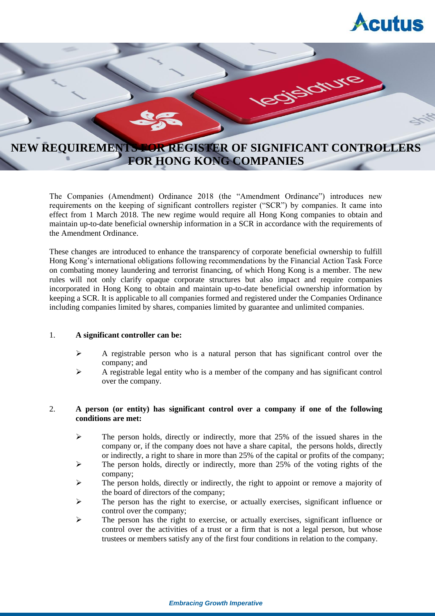



The Companies (Amendment) Ordinance 2018 (the "Amendment Ordinance") introduces new requirements on the keeping of significant controllers register ("SCR") by companies. It came into effect from 1 March 2018. The new regime would require all Hong Kong companies to obtain and maintain up-to-date beneficial ownership information in a SCR in accordance with the requirements of the Amendment Ordinance.

These changes are introduced to enhance the transparency of corporate beneficial ownership to fulfill Hong Kong's international obligations following recommendations by the Financial Action Task Force on combating money laundering and terrorist financing, of which Hong Kong is a member. The new rules will not only clarify opaque corporate structures but also impact and require companies incorporated in Hong Kong to obtain and maintain up-to-date beneficial ownership information by keeping a SCR. It is applicable to all companies formed and registered under the Companies Ordinance including companies limited by shares, companies limited by guarantee and unlimited companies.

## 1. **A significant controller can be:**

- $\triangleright$  A registrable person who is a natural person that has significant control over the company; and
- $\triangleright$  A registrable legal entity who is a member of the company and has significant control over the company.

# 2. **A person (or entity) has significant control over a company if one of the following conditions are met:**

- $\triangleright$  The person holds, directly or indirectly, more that 25% of the issued shares in the company or, if the company does not have a share capital, the persons holds, directly or indirectly, a right to share in more than 25% of the capital or profits of the company;
- $\geq$  The person holds, directly or indirectly, more than 25% of the voting rights of the company;
- $\triangleright$  The person holds, directly or indirectly, the right to appoint or remove a majority of the board of directors of the company;
- $\triangleright$  The person has the right to exercise, or actually exercises, significant influence or control over the company;
- The person has the right to exercise, or actually exercises, significant influence or control over the activities of a trust or a firm that is not a legal person, but whose trustees or members satisfy any of the first four conditions in relation to the company.